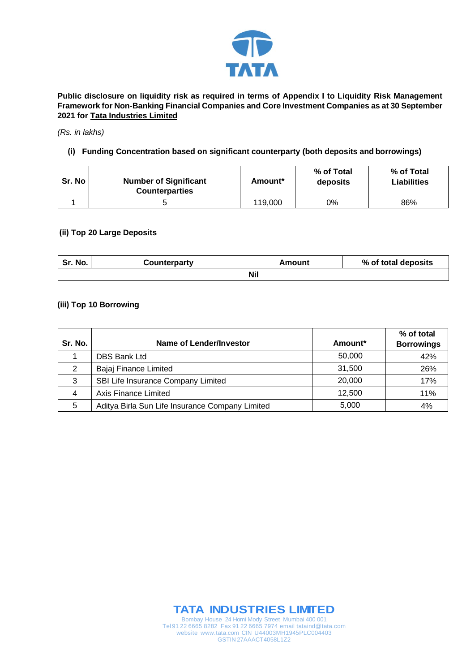

**Public disclosure on liquidity risk as required in terms of Appendix I to Liquidity Risk Management Framework for Non-Banking Financial Companies and Core Investment Companies as at 30 September 2021 for Tata Industries Limited**

#### *(Rs. in lakhs)*

## **(i) Funding Concentration based on significant counterparty (both deposits and borrowings)**

| Sr. No | <b>Number of Significant</b><br><b>Counterparties</b> | Amount* | % of Total<br>deposits | % of Total<br><b>Liabilities</b> |
|--------|-------------------------------------------------------|---------|------------------------|----------------------------------|
|        |                                                       | 119,000 | 0%                     | 86%                              |

### **(ii) Top 20 Large Deposits**

| Sr. No.    | Counterparty | Amount | % of total deposits |  |
|------------|--------------|--------|---------------------|--|
| <b>Nil</b> |              |        |                     |  |

## **(iii) Top 10 Borrowing**

| Sr. No. | Name of Lender/Investor                         | Amount* | % of total<br><b>Borrowings</b> |
|---------|-------------------------------------------------|---------|---------------------------------|
|         | <b>DBS Bank Ltd</b>                             | 50,000  | 42%                             |
| 2       | Bajaj Finance Limited                           | 31,500  | 26%                             |
| 3       | SBI Life Insurance Company Limited              | 20,000  | 17%                             |
| 4       | Axis Finance Limited                            | 12,500  | 11%                             |
| 5       | Aditya Birla Sun Life Insurance Company Limited | 5,000   | 4%                              |